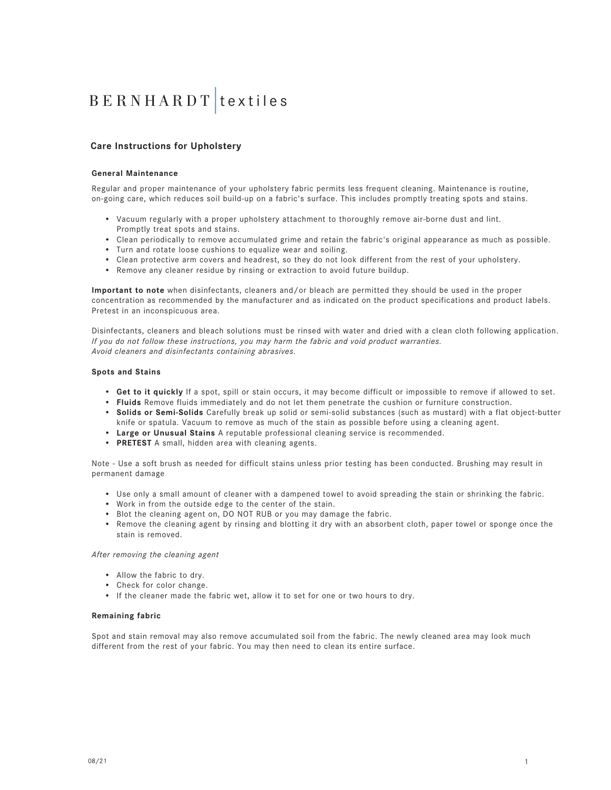### **Care Instructions for Upholstery**

#### **General Maintenance**

Regular and proper maintenance of your upholstery fabric permits less frequent cleaning. Maintenance is routine, on-going care, which reduces soil build-up on a fabric's surface. This includes promptly treating spots and stains.

- Vacuum regularly with a proper upholstery attachment to thoroughly remove air-borne dust and lint. Promptly treat spots and stains.
- Clean periodically to remove accumulated grime and retain the fabric's original appearance as much as possible.
- Turn and rotate loose cushions to equalize wear and soiling.
- Clean protective arm covers and headrest, so they do not look different from the rest of your upholstery.
- Remove any cleaner residue by rinsing or extraction to avoid future buildup.

**Important to note** when disinfectants, cleaners and/or bleach are permitted they should be used in the proper concentration as recommended by the manufacturer and as indicated on the product specifications and product labels. Pretest in an inconspicuous area.

Disinfectants, cleaners and bleach solutions must be rinsed with water and dried with a clean cloth following application. *If you do not follow these instructions, you may harm the fabric and void product warranties. Avoid cleaners and disinfectants containing abrasives.*

#### **Spots and Stains**

- **Get to it quickly** If a spot, spill or stain occurs, it may become difficult or impossible to remove if allowed to set.
- **Fluids** Remove fluids immediately and do not let them penetrate the cushion or furniture construction.
- **Solids or Semi-Solids** Carefully break up solid or semi-solid substances (such as mustard) with a flat object-butter knife or spatula. Vacuum to remove as much of the stain as possible before using a cleaning agent.
- **Large or Unusual Stains** A reputable professional cleaning service is recommended.
- **PRETEST** A small, hidden area with cleaning agents.

Note - Use a soft brush as needed for difficult stains unless prior testing has been conducted. Brushing may result in permanent damage

- Use only a small amount of cleaner with a dampened towel to avoid spreading the stain or shrinking the fabric.
- Work in from the outside edge to the center of the stain.
- Blot the cleaning agent on, DO NOT RUB or you may damage the fabric.
- Remove the cleaning agent by rinsing and blotting it dry with an absorbent cloth, paper towel or sponge once the stain is removed.

#### *After removing the cleaning agent*

- Allow the fabric to dry.
- Check for color change.
- If the cleaner made the fabric wet, allow it to set for one or two hours to dry.

#### **Remaining fabric**

Spot and stain removal may also remove accumulated soil from the fabric. The newly cleaned area may look much different from the rest of your fabric. You may then need to clean its entire surface.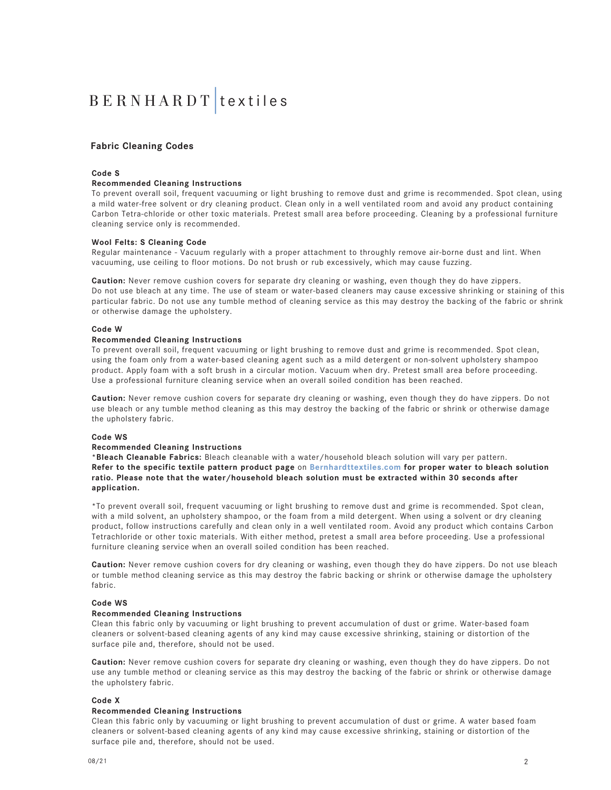### **Fabric Cleaning Codes**

#### **Code S**

#### **Recommended Cleaning Instructions**

To prevent overall soil, frequent vacuuming or light brushing to remove dust and grime is recommended. Spot clean, using a mild water-free solvent or dry cleaning product. Clean only in a well ventilated room and avoid any product containing Carbon Tetra-chloride or other toxic materials. Pretest small area before proceeding. Cleaning by a professional furniture cleaning service only is recommended.

#### **Wool Felts: S Cleaning Code**

Regular maintenance - Vacuum regularly with a proper attachment to throughly remove air-borne dust and lint. When vacuuming, use ceiling to floor motions. Do not brush or rub excessively, which may cause fuzzing.

**Caution:** Never remove cushion covers for separate dry cleaning or washing, even though they do have zippers. Do not use bleach at any time. The use of steam or water-based cleaners may cause excessive shrinking or staining of this particular fabric. Do not use any tumble method of cleaning service as this may destroy the backing of the fabric or shrink or otherwise damage the upholstery.

#### **Code W**

#### **Recommended Cleaning Instructions**

To prevent overall soil, frequent vacuuming or light brushing to remove dust and grime is recommended. Spot clean, using the foam only from a water-based cleaning agent such as a mild detergent or non-solvent upholstery shampoo product. Apply foam with a soft brush in a circular motion. Vacuum when dry. Pretest small area before proceeding. Use a professional furniture cleaning service when an overall soiled condition has been reached.

**Caution:** Never remove cushion covers for separate dry cleaning or washing, even though they do have zippers. Do not use bleach or any tumble method cleaning as this may destroy the backing of the fabric or shrink or otherwise damage the upholstery fabric.

#### **Code WS**

#### **Recommended Cleaning Instructions**

**\*Bleach Cleanable Fabrics:** Bleach cleanable with a water/household bleach solution will vary per pattern. **Refer to the specific textile pattern product page** on **Bernhardttextiles.com for proper water to bleach solution ratio. Please note that the water/household bleach solution must be extracted within 30 seconds after application.**

\*To prevent overall soil, frequent vacuuming or light brushing to remove dust and grime is recommended. Spot clean, with a mild solvent, an upholstery shampoo, or the foam from a mild detergent. When using a solvent or dry cleaning product, follow instructions carefully and clean only in a well ventilated room. Avoid any product which contains Carbon Tetrachloride or other toxic materials. With either method, pretest a small area before proceeding. Use a professional furniture cleaning service when an overall soiled condition has been reached.

**Caution:** Never remove cushion covers for dry cleaning or washing, even though they do have zippers. Do not use bleach or tumble method cleaning service as this may destroy the fabric backing or shrink or otherwise damage the upholstery fabric.

#### **Code WS**

#### **Recommended Cleaning Instructions**

Clean this fabric only by vacuuming or light brushing to prevent accumulation of dust or grime. Water-based foam cleaners or solvent-based cleaning agents of any kind may cause excessive shrinking, staining or distortion of the surface pile and, therefore, should not be used.

**Caution:** Never remove cushion covers for separate dry cleaning or washing, even though they do have zippers. Do not use any tumble method or cleaning service as this may destroy the backing of the fabric or shrink or otherwise damage the upholstery fabric.

#### **Code X**

#### **Recommended Cleaning Instructions**

Clean this fabric only by vacuuming or light brushing to prevent accumulation of dust or grime. A water based foam cleaners or solvent-based cleaning agents of any kind may cause excessive shrinking, staining or distortion of the surface pile and, therefore, should not be used.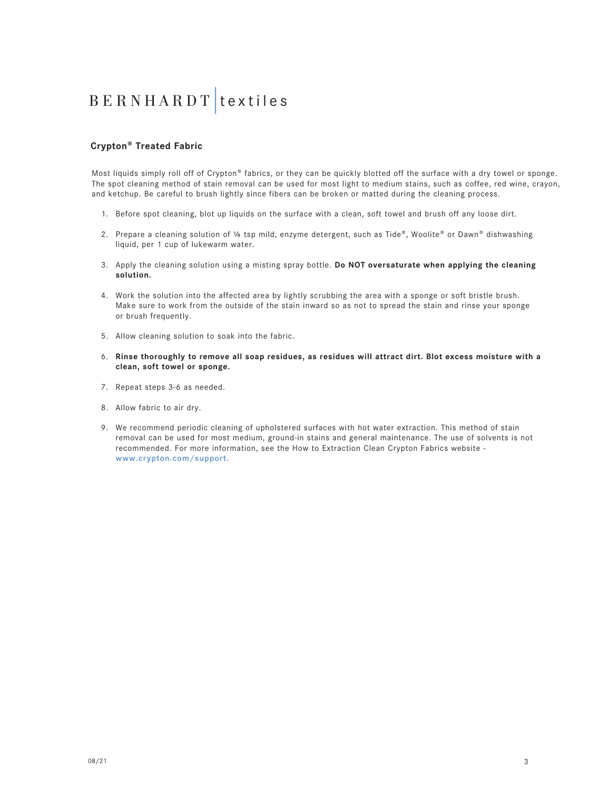### **Crypton® Treated Fabric**

Most liquids simply roll off of Crypton® fabrics, or they can be quickly blotted off the surface with a dry towel or sponge. The spot cleaning method of stain removal can be used for most light to medium stains, such as coffee, red wine, crayon, and ketchup. Be careful to brush lightly since fibers can be broken or matted during the cleaning process.

- 1. Before spot cleaning, blot up liquids on the surface with a clean, soft towel and brush off any loose dirt.
- 2. Prepare a cleaning solution of ¼ tsp mild, enzyme detergent, such as Tide®, Woolite® or Dawn® dishwashing liquid, per 1 cup of lukewarm water.
- 3. Apply the cleaning solution using a misting spray bottle. **Do NOT oversaturate when applying the cleaning solution.**
- 4. Work the solution into the affected area by lightly scrubbing the area with a sponge or soft bristle brush. Make sure to work from the outside of the stain inward so as not to spread the stain and rinse your sponge or brush frequently.
- 5. Allow cleaning solution to soak into the fabric.
- 6. **Rinse thoroughly to remove all soap residues, as residues will attract dirt. Blot excess moisture with a clean, soft towel or sponge.**
- 7. Repeat steps 3-6 as needed.
- 8. Allow fabric to air dry.
- 9. We recommend periodic cleaning of upholstered surfaces with hot water extraction. This method of stain removal can be used for most medium, ground-in stains and general maintenance. The use of solvents is not recommended. For more information, see the How to Extraction Clean Crypton Fabrics website **www.crypton.com/support.**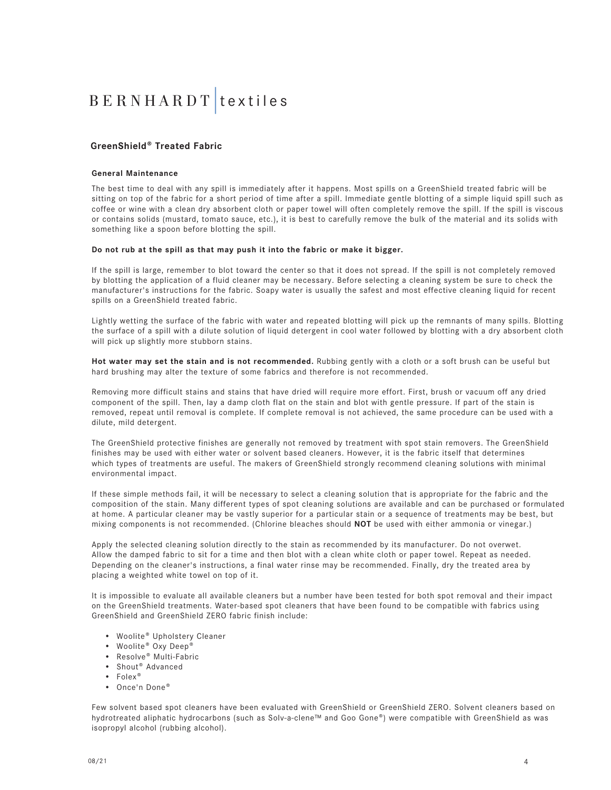### **GreenShield® Treated Fabric**

#### **General Maintenance**

The best time to deal with any spill is immediately after it happens. Most spills on a GreenShield treated fabric will be sitting on top of the fabric for a short period of time after a spill. Immediate gentle blotting of a simple liquid spill such as coffee or wine with a clean dry absorbent cloth or paper towel will often completely remove the spill. If the spill is viscous or contains solids (mustard, tomato sauce, etc.), it is best to carefully remove the bulk of the material and its solids with something like a spoon before blotting the spill.

#### **Do not rub at the spill as that may push it into the fabric or make it bigger.**

If the spill is large, remember to blot toward the center so that it does not spread. If the spill is not completely removed by blotting the application of a fluid cleaner may be necessary. Before selecting a cleaning system be sure to check the manufacturer's instructions for the fabric. Soapy water is usually the safest and most effective cleaning liquid for recent spills on a GreenShield treated fabric.

Lightly wetting the surface of the fabric with water and repeated blotting will pick up the remnants of many spills. Blotting the surface of a spill with a dilute solution of liquid detergent in cool water followed by blotting with a dry absorbent cloth will pick up slightly more stubborn stains.

**Hot water may set the stain and is not recommended.** Rubbing gently with a cloth or a soft brush can be useful but hard brushing may alter the texture of some fabrics and therefore is not recommended.

Removing more difficult stains and stains that have dried will require more effort. First, brush or vacuum off any dried component of the spill. Then, lay a damp cloth flat on the stain and blot with gentle pressure. If part of the stain is removed, repeat until removal is complete. If complete removal is not achieved, the same procedure can be used with a dilute, mild detergent.

The GreenShield protective finishes are generally not removed by treatment with spot stain removers. The GreenShield finishes may be used with either water or solvent based cleaners. However, it is the fabric itself that determines which types of treatments are useful. The makers of GreenShield strongly recommend cleaning solutions with minimal environmental impact.

If these simple methods fail, it will be necessary to select a cleaning solution that is appropriate for the fabric and the composition of the stain. Many different types of spot cleaning solutions are available and can be purchased or formulated at home. A particular cleaner may be vastly superior for a particular stain or a sequence of treatments may be best, but mixing components is not recommended. (Chlorine bleaches should **NOT** be used with either ammonia or vinegar.)

Apply the selected cleaning solution directly to the stain as recommended by its manufacturer. Do not overwet. Allow the damped fabric to sit for a time and then blot with a clean white cloth or paper towel. Repeat as needed. Depending on the cleaner's instructions, a final water rinse may be recommended. Finally, dry the treated area by placing a weighted white towel on top of it.

It is impossible to evaluate all available cleaners but a number have been tested for both spot removal and their impact on the GreenShield treatments. Water-based spot cleaners that have been found to be compatible with fabrics using GreenShield and GreenShield ZERO fabric finish include:

- Woolite® Upholstery Cleaner
- Woolite® Oxy Deep®
- Resolve® Multi-Fabric
- Shout® Advanced
- Folex®
- Once'n Done®

Few solvent based spot cleaners have been evaluated with GreenShield or GreenShield ZERO. Solvent cleaners based on hydrotreated aliphatic hydrocarbons (such as Solv-a-clene™ and Goo Gone®) were compatible with GreenShield as was isopropyl alcohol (rubbing alcohol).